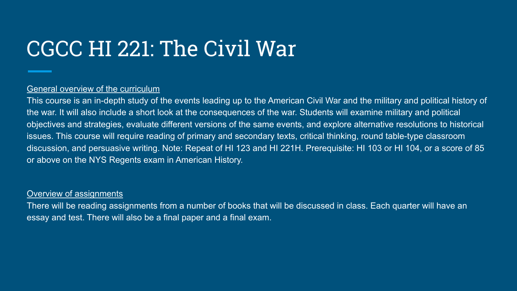# CGCC HI 221: The Civil War

# General overview of the curriculum

This course is an in-depth study of the events leading up to the American Civil War and the military and political history of the war. It will also include a short look at the consequences of the war. Students will examine military and political objectives and strategies, evaluate different versions of the same events, and explore alternative resolutions to historical issues. This course will require reading of primary and secondary texts, critical thinking, round table-type classroom discussion, and persuasive writing. Note: Repeat of HI 123 and HI 221H. Prerequisite: HI 103 or HI 104, or a score of 85 or above on the NYS Regents exam in American History.

### Overview of assignments

There will be reading assignments from a number of books that will be discussed in class. Each quarter will have an essay and test. There will also be a final paper and a final exam.